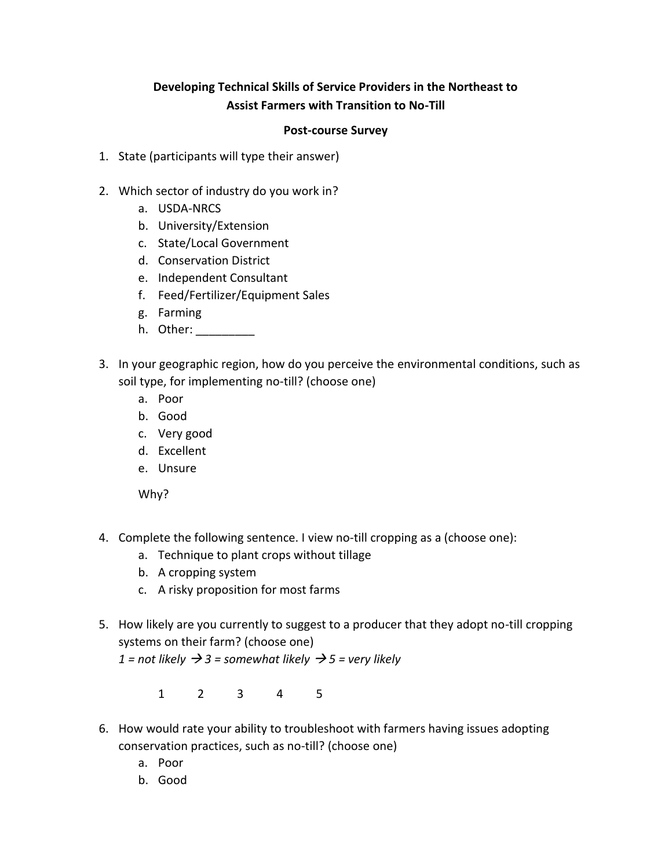## **Developing Technical Skills of Service Providers in the Northeast to Assist Farmers with Transition to No-Till**

## **Post-course Survey**

- 1. State (participants will type their answer)
- 2. Which sector of industry do you work in?
	- a. USDA-NRCS
	- b. University/Extension
	- c. State/Local Government
	- d. Conservation District
	- e. Independent Consultant
	- f. Feed/Fertilizer/Equipment Sales
	- g. Farming
	- h. Other: \_\_\_\_\_\_\_\_\_
- 3. In your geographic region, how do you perceive the environmental conditions, such as soil type, for implementing no-till? (choose one)
	- a. Poor
	- b. Good
	- c. Very good
	- d. Excellent
	- e. Unsure

Why?

- 4. Complete the following sentence. I view no-till cropping as a (choose one):
	- a. Technique to plant crops without tillage
	- b. A cropping system
	- c. A risky proposition for most farms
- 5. How likely are you currently to suggest to a producer that they adopt no-till cropping systems on their farm? (choose one)

*1* = not likely  $\rightarrow$  *3* = somewhat likely  $\rightarrow$  *5* = very likely

1 2 3 4 5

- 6. How would rate your ability to troubleshoot with farmers having issues adopting conservation practices, such as no-till? (choose one)
	- a. Poor
	- b. Good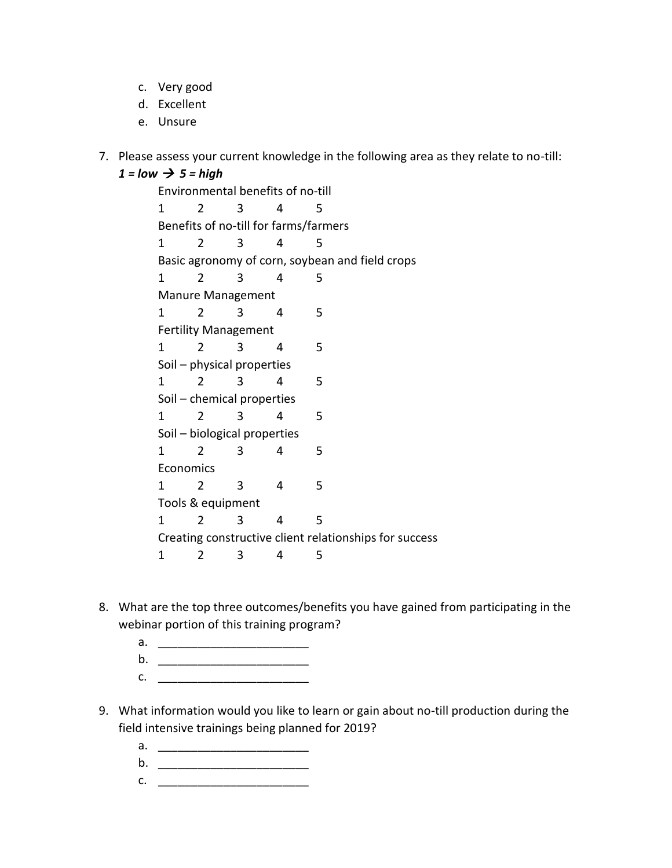- c. Very good
- d. Excellent
- e. Unsure
- 7. Please assess your current knowledge in the following area as they relate to no-till:

$$
1 = low \rightarrow 5 = high
$$

Environmental benefits of no-till 1 2 3 4 5 Benefits of no-till for farms/farmers 1 2 3 4 5 Basic agronomy of corn, soybean and field crops 1 2 3 4 5 Manure Management 1 2 3 4 5 Fertility Management 1 2 3 4 5 Soil – physical properties 1 2 3 4 5 Soil – chemical properties 1 2 3 4 5 Soil – biological properties 1 2 3 4 5 **Economics** 1 2 3 4 5 Tools & equipment 1 2 3 4 5 Creating constructive client relationships for success 1 2 3 4 5

- 8. What are the top three outcomes/benefits you have gained from participating in the webinar portion of this training program?
	- a. \_\_\_\_\_\_\_\_\_\_\_\_\_\_\_\_\_\_\_\_\_\_\_
	- b. \_\_\_\_\_\_\_\_\_\_\_\_\_\_\_\_\_\_\_\_\_\_\_
	- c. <u>\_\_\_\_\_\_\_\_\_\_\_\_\_\_\_\_\_\_\_\_\_\_\_\_\_\_</u>
- 9. What information would you like to learn or gain about no-till production during the field intensive trainings being planned for 2019?
	- a. <u>\_\_\_\_\_\_\_\_\_\_\_\_\_\_\_\_\_\_\_\_\_\_\_\_\_\_</u>
	- b. \_\_\_\_\_\_\_\_\_\_\_\_\_\_\_\_\_\_\_\_\_\_\_
	- c. \_\_\_\_\_\_\_\_\_\_\_\_\_\_\_\_\_\_\_\_\_\_\_